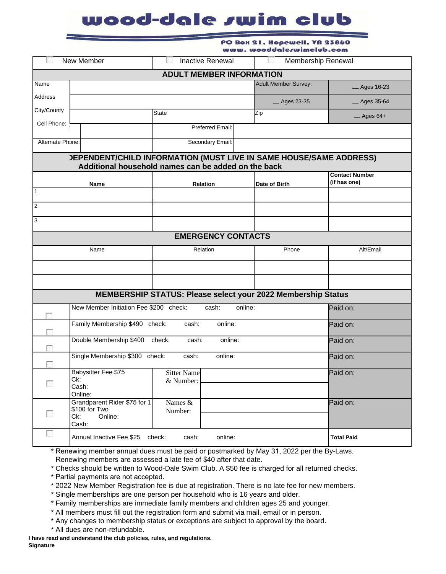## wood-dale swim club

|                          | PO Box 21. Hopewell. VA 23860<br>www.wooddalerwimclub.com                 |                                                     |                                                              |                                       |  |  |  |
|--------------------------|---------------------------------------------------------------------------|-----------------------------------------------------|--------------------------------------------------------------|---------------------------------------|--|--|--|
| New Member               |                                                                           | <b>Inactive Renewal</b>                             |                                                              | Membership Renewal                    |  |  |  |
|                          |                                                                           | <b>ADULT MEMBER INFORMATION</b>                     |                                                              |                                       |  |  |  |
| Name                     |                                                                           |                                                     | <b>Adult Member Survey:</b>                                  | <b>Ages 16-23</b>                     |  |  |  |
| Address                  |                                                                           |                                                     | <sub>_</sub> Ages 23-35                                      | _ Ages 35-64                          |  |  |  |
| City/County              |                                                                           | <b>State</b>                                        |                                                              | $-$ Ages 64+                          |  |  |  |
| Cell Phone:              |                                                                           | Preferred Email:                                    |                                                              |                                       |  |  |  |
| Alternate Phone:         |                                                                           | Secondary Email:                                    |                                                              |                                       |  |  |  |
|                          | <b>JEPENDENT/CHILD INFORMATION (MUST LIVE IN SAME HOUSE/SAME ADDRESS)</b> | Additional household names can be added on the back |                                                              |                                       |  |  |  |
|                          | Name                                                                      | <b>Relation</b>                                     | Date of Birth                                                | <b>Contact Number</b><br>(if has one) |  |  |  |
| $\mathbf{1}$             |                                                                           |                                                     |                                                              |                                       |  |  |  |
| $\overline{2}$           |                                                                           |                                                     |                                                              |                                       |  |  |  |
| 3                        |                                                                           |                                                     |                                                              |                                       |  |  |  |
|                          |                                                                           | <b>EMERGENCY CONTACTS</b>                           |                                                              |                                       |  |  |  |
| Name                     |                                                                           | Relation                                            | Phone                                                        | Alt/Email                             |  |  |  |
|                          |                                                                           |                                                     |                                                              |                                       |  |  |  |
|                          |                                                                           |                                                     |                                                              |                                       |  |  |  |
|                          |                                                                           |                                                     | MEMBERSHIP STATUS: Please select your 2022 Membership Status |                                       |  |  |  |
|                          | New Member Initiation Fee \$200 check:                                    | Paid on:                                            |                                                              |                                       |  |  |  |
|                          | Family Membership \$490 check:<br>online:<br>cash:                        |                                                     |                                                              | Paid on:                              |  |  |  |
|                          | Double Membership \$400 check:                                            | Paid on:                                            |                                                              |                                       |  |  |  |
| ा                        | Single Membership \$300 check:                                            | cash:<br>online:                                    |                                                              | Paid on:                              |  |  |  |
| П                        | Babysitter Fee \$75<br>Ck:<br>Cash:<br>Online:                            | <b>Sitter Name</b><br>& Number:                     |                                                              | Paid on:                              |  |  |  |
| $\overline{\phantom{a}}$ | Grandparent Rider \$75 for 1<br>\$100 for Two<br>Online:<br>Ck:<br>Cash:  | Names &<br>Number:                                  |                                                              | Paid on:                              |  |  |  |
| $\overline{\phantom{a}}$ | Annual Inactive Fee \$25 check:                                           | cash:<br>online:                                    |                                                              | <b>Total Paid</b>                     |  |  |  |

\* Renewing member annual dues must be paid or postmarked by May 31, 2022 per the By-Laws. Renewing members are assessed a late fee of \$40 after that date.

\* Checks should be written to Wood-Dale Swim Club. A \$50 fee is charged for all returned checks.

- \* Partial payments are not accepted.
- \* 2022 New Member Registration fee is due at registration. There is no late fee for new members.
- \* Single memberships are one person per household who is 16 years and older.
- \* Family memberships are immediate family members and children ages 25 and younger.
- \* All members must fill out the registration form and submit via mail, email or in person.
- \* Any changes to membership status or exceptions are subject to approval by the board.
- \* All dues are non-refundable.

**I have read and understand the club policies, rules, and regulations.** 

**Signature**